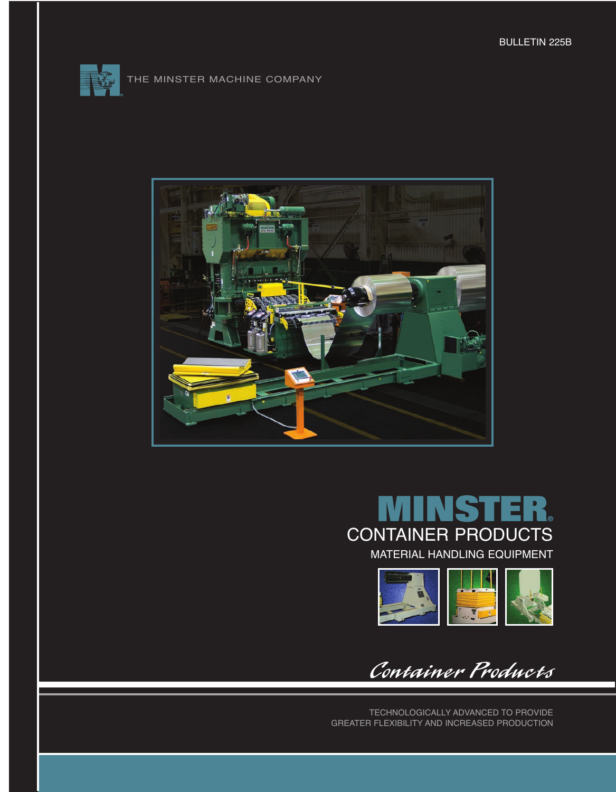



# **MINSTER®** CONTAINER PRODUCTS

MATERIAL HANDLING EQUIPMENT



**Container Products**

TECHNOLOGICALLY ADVANCED TO PROVIDE GREATER FLEXIBILITY AND INCREASED PRODUCTION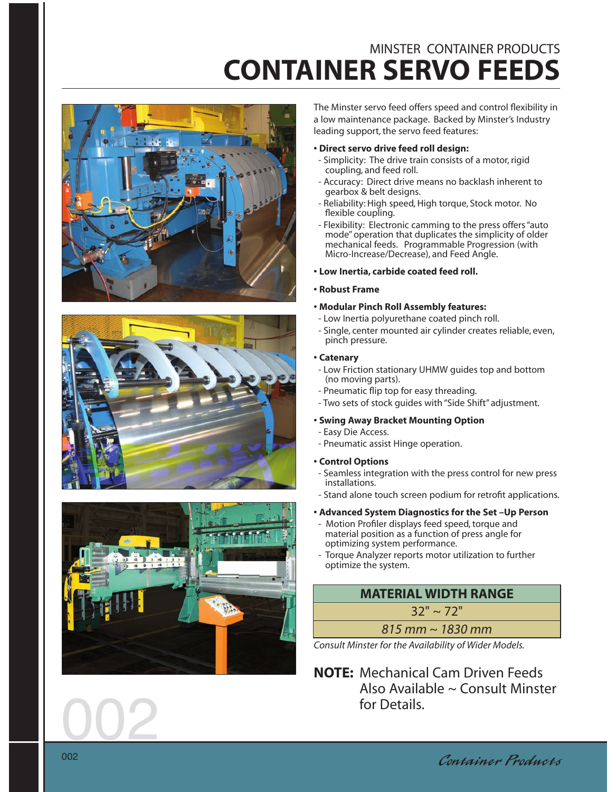## MINSTER CONTAINER PRODUCTS **CONTAINER SERVO FEEDS**







The Minster servo feed offers speed and control flexibility in a low maintenance package. Backed by Minster's Industry leading support, the servo feed features:

#### **• Direct servo drive feed roll design:**

- Simplicity: The drive train consists of a motor, rigid coupling, and feed roll.
- Accuracy: Direct drive means no backlash inherent to gearbox & belt designs.
- Reliability: High speed, High torque, Stock motor. No flexible coupling.
- Flexibility: Electronic camming to the press offers "auto mode" operation that duplicates the simplicity of older mechanical feeds. Programmable Progression (with Micro-Increase/Decrease), and Feed Angle.
- **Low Inertia, carbide coated feed roll.**

#### **• Robust Frame**

#### **• Modular Pinch Roll Assembly features:**

- Low Inertia polyurethane coated pinch roll.
- Single, center mounted air cylinder creates reliable, even, pinch pressure.

#### **• Catenary**

- Low Friction stationary UHMW guides top and bottom (no moving parts).
- Pneumatic flip top for easy threading.
- Two sets of stock guides with "Side Shift" adjustment.

#### **• Swing Away Bracket Mounting Option**

- Easy Die Access.
- Pneumatic assist Hinge operation.

#### **• Control Options**

- Seamless integration with the press control for new press installations.
- Stand alone touch screen podium for retrofit applications.

#### **• Advanced System Diagnostics for the Set –Up Person**

- Motion Profiler displays feed speed, torque and material position as a function of press angle for optimizing system performance.
- Torque Analyzer reports motor utilization to further optimize the system.

## **MATERIAL WIDTH RANGE**

 $32" \sim 72"$ 

#### *815 mm ~ 1830 mm*

*Consult Minster for the Availability of Wider Models.*

**NOTE:** Mechanical Cam Driven Feeds Also Available  $\sim$  Consult Minster for Details.